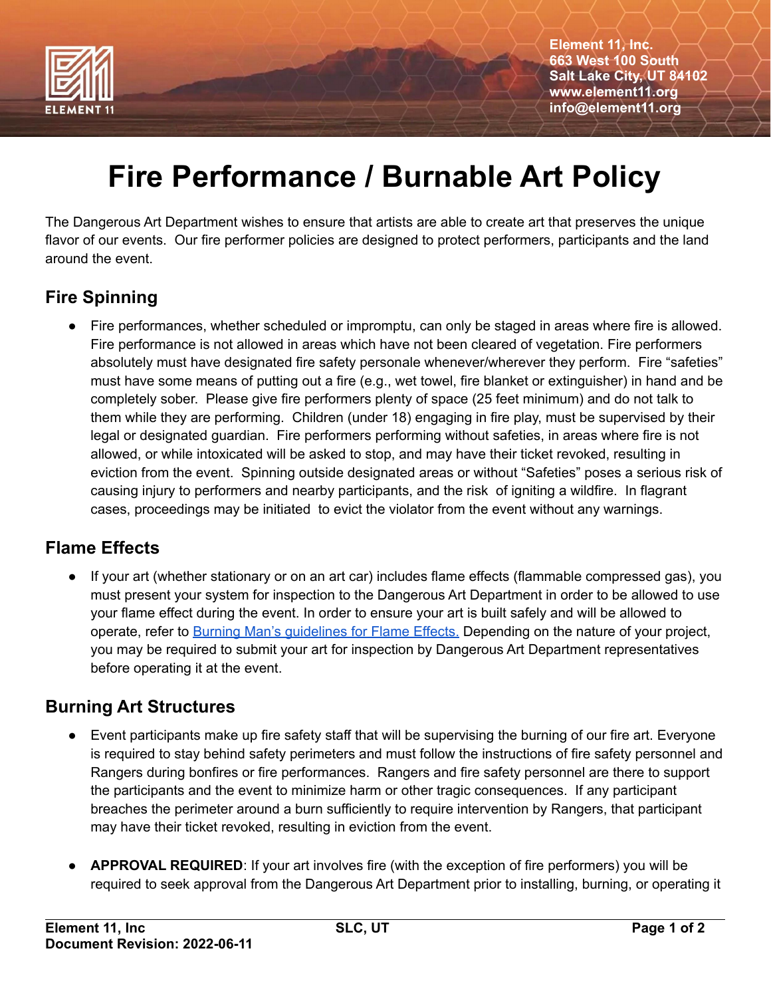

**Element 11, Inc. 663 West 100 South Salt Lake City, UT 84102 www.element11.org info@element11.org**

# **Fire Performance / Burnable Art Policy**

The Dangerous Art Department wishes to ensure that artists are able to create art that preserves the unique flavor of our events. Our fire performer policies are designed to protect performers, participants and the land around the event.

## **Fire Spinning**

Fire performances, whether scheduled or impromptu, can only be staged in areas where fire is allowed. Fire performance is not allowed in areas which have not been cleared of vegetation. Fire performers absolutely must have designated fire safety personale whenever/wherever they perform. Fire "safeties" must have some means of putting out a fire (e.g., wet towel, fire blanket or extinguisher) in hand and be completely sober. Please give fire performers plenty of space (25 feet minimum) and do not talk to them while they are performing. Children (under 18) engaging in fire play, must be supervised by their legal or designated guardian. Fire performers performing without safeties, in areas where fire is not allowed, or while intoxicated will be asked to stop, and may have their ticket revoked, resulting in eviction from the event. Spinning outside designated areas or without "Safeties" poses a serious risk of causing injury to performers and nearby participants, and the risk of igniting a wildfire. In flagrant cases, proceedings may be initiated to evict the violator from the event without any warnings.

### **Flame Effects**

● If your art (whether stationary or on an art car) includes flame effects (flammable compressed gas), you must present your system for inspection to the Dangerous Art Department in order to be allowed to use your flame effect during the event. In order to ensure your art is built safely and will be allowed to operate, refer to Burning Man's [guidelines](http://www.burningman.com/installations/flame_effects.html) for Flame Effects. Depending on the nature of your project, you may be required to submit your art for inspection by Dangerous Art Department representatives before operating it at the event.

### **Burning Art Structures**

- Event participants make up fire safety staff that will be supervising the burning of our fire art. Everyone is required to stay behind safety perimeters and must follow the instructions of fire safety personnel and Rangers during bonfires or fire performances. Rangers and fire safety personnel are there to support the participants and the event to minimize harm or other tragic consequences. If any participant breaches the perimeter around a burn sufficiently to require intervention by Rangers, that participant may have their ticket revoked, resulting in eviction from the event.
- APPROVAL REQUIRED: If your art involves fire (with the exception of fire performers) you will be required to seek approval from the Dangerous Art Department prior to installing, burning, or operating it